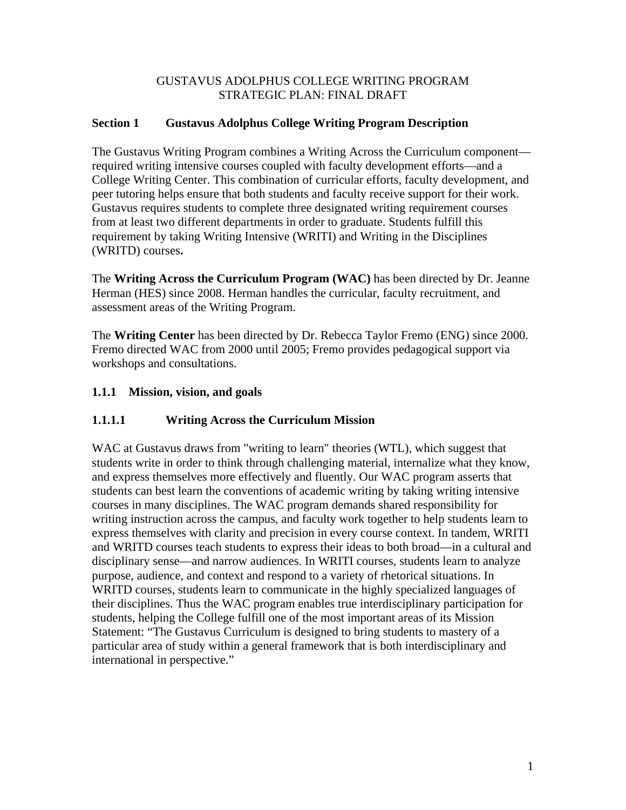#### GUSTAVUS ADOLPHUS COLLEGE WRITING PROGRAM STRATEGIC PLAN: FINAL DRAFT

## **Section 1 Gustavus Adolphus College Writing Program Description**

The Gustavus Writing Program combines a Writing Across the Curriculum component required writing intensive courses coupled with faculty development efforts—and a College Writing Center. This combination of curricular efforts, faculty development, and peer tutoring helps ensure that both students and faculty receive support for their work. Gustavus requires students to complete three designated writing requirement courses from at least two different departments in order to graduate. Students fulfill this requirement by taking Writing Intensive (WRITI) and Writing in the Disciplines (WRITD) courses**.**

The **Writing Across the Curriculum Program (WAC)** has been directed by Dr. Jeanne Herman (HES) since 2008. Herman handles the curricular, faculty recruitment, and assessment areas of the Writing Program.

The **Writing Center** has been directed by Dr. Rebecca Taylor Fremo (ENG) since 2000. Fremo directed WAC from 2000 until 2005; Fremo provides pedagogical support via workshops and consultations.

### **1.1.1 Mission, vision, and goals**

## **1.1.1.1 Writing Across the Curriculum Mission**

WAC at Gustavus draws from "writing to learn" theories (WTL), which suggest that students write in order to think through challenging material, internalize what they know, and express themselves more effectively and fluently. Our WAC program asserts that students can best learn the conventions of academic writing by taking writing intensive courses in many disciplines. The WAC program demands shared responsibility for writing instruction across the campus, and faculty work together to help students learn to express themselves with clarity and precision in every course context. In tandem, WRITI and WRITD courses teach students to express their ideas to both broad—in a cultural and disciplinary sense—and narrow audiences. In WRITI courses, students learn to analyze purpose, audience, and context and respond to a variety of rhetorical situations. In WRITD courses, students learn to communicate in the highly specialized languages of their disciplines. Thus the WAC program enables true interdisciplinary participation for students, helping the College fulfill one of the most important areas of its Mission Statement: "The Gustavus Curriculum is designed to bring students to mastery of a particular area of study within a general framework that is both interdisciplinary and international in perspective."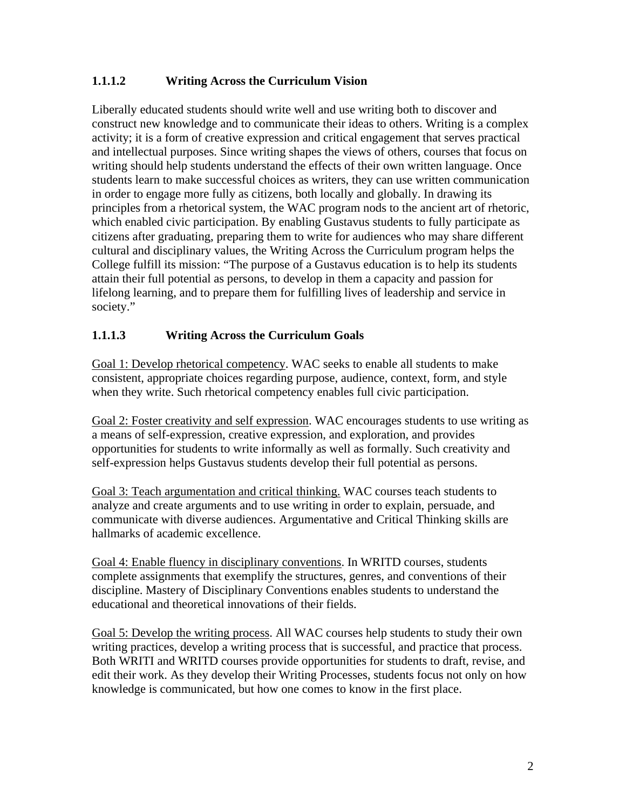## **1.1.1.2 Writing Across the Curriculum Vision**

Liberally educated students should write well and use writing both to discover and construct new knowledge and to communicate their ideas to others. Writing is a complex activity; it is a form of creative expression and critical engagement that serves practical and intellectual purposes. Since writing shapes the views of others, courses that focus on writing should help students understand the effects of their own written language. Once students learn to make successful choices as writers, they can use written communication in order to engage more fully as citizens, both locally and globally. In drawing its principles from a rhetorical system, the WAC program nods to the ancient art of rhetoric, which enabled civic participation. By enabling Gustavus students to fully participate as citizens after graduating, preparing them to write for audiences who may share different cultural and disciplinary values, the Writing Across the Curriculum program helps the College fulfill its mission: "The purpose of a Gustavus education is to help its students attain their full potential as persons, to develop in them a capacity and passion for lifelong learning, and to prepare them for fulfilling lives of leadership and service in society."

### **1.1.1.3 Writing Across the Curriculum Goals**

Goal 1: Develop rhetorical competency. WAC seeks to enable all students to make consistent, appropriate choices regarding purpose, audience, context, form, and style when they write. Such rhetorical competency enables full civic participation.

Goal 2: Foster creativity and self expression. WAC encourages students to use writing as a means of self-expression, creative expression, and exploration, and provides opportunities for students to write informally as well as formally. Such creativity and self-expression helps Gustavus students develop their full potential as persons.

Goal 3: Teach argumentation and critical thinking. WAC courses teach students to analyze and create arguments and to use writing in order to explain, persuade, and communicate with diverse audiences. Argumentative and Critical Thinking skills are hallmarks of academic excellence.

Goal 4: Enable fluency in disciplinary conventions. In WRITD courses, students complete assignments that exemplify the structures, genres, and conventions of their discipline. Mastery of Disciplinary Conventions enables students to understand the educational and theoretical innovations of their fields.

Goal 5: Develop the writing process. All WAC courses help students to study their own writing practices, develop a writing process that is successful, and practice that process. Both WRITI and WRITD courses provide opportunities for students to draft, revise, and edit their work. As they develop their Writing Processes, students focus not only on how knowledge is communicated, but how one comes to know in the first place.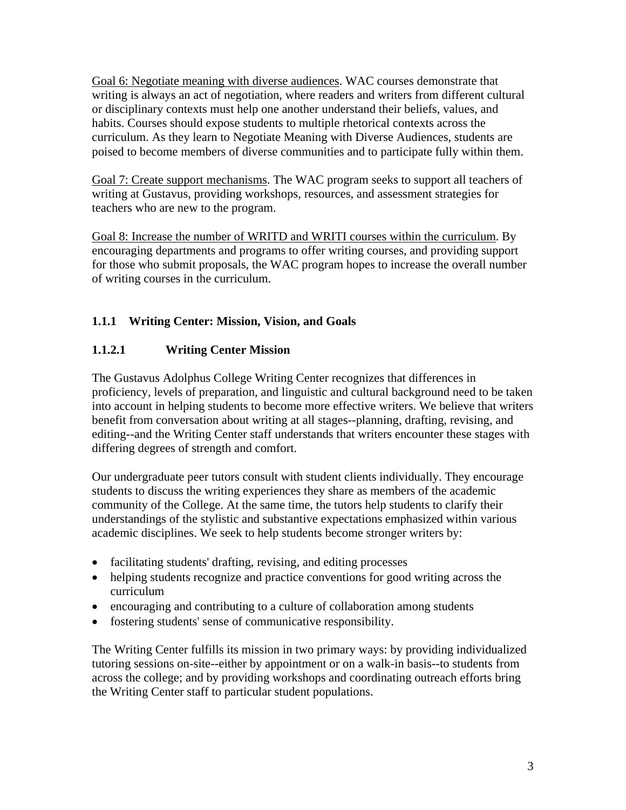Goal 6: Negotiate meaning with diverse audiences. WAC courses demonstrate that writing is always an act of negotiation, where readers and writers from different cultural or disciplinary contexts must help one another understand their beliefs, values, and habits. Courses should expose students to multiple rhetorical contexts across the curriculum. As they learn to Negotiate Meaning with Diverse Audiences, students are poised to become members of diverse communities and to participate fully within them.

Goal 7: Create support mechanisms. The WAC program seeks to support all teachers of writing at Gustavus, providing workshops, resources, and assessment strategies for teachers who are new to the program.

Goal 8: Increase the number of WRITD and WRITI courses within the curriculum. By encouraging departments and programs to offer writing courses, and providing support for those who submit proposals, the WAC program hopes to increase the overall number of writing courses in the curriculum.

## **1.1.1 Writing Center: Mission, Vision, and Goals**

## **1.1.2.1 Writing Center Mission**

The Gustavus Adolphus College Writing Center recognizes that differences in proficiency, levels of preparation, and linguistic and cultural background need to be taken into account in helping students to become more effective writers. We believe that writers benefit from conversation about writing at all stages--planning, drafting, revising, and editing--and the Writing Center staff understands that writers encounter these stages with differing degrees of strength and comfort.

Our undergraduate peer tutors consult with student clients individually. They encourage students to discuss the writing experiences they share as members of the academic community of the College. At the same time, the tutors help students to clarify their understandings of the stylistic and substantive expectations emphasized within various academic disciplines. We seek to help students become stronger writers by:

- facilitating students' drafting, revising, and editing processes
- helping students recognize and practice conventions for good writing across the curriculum
- encouraging and contributing to a culture of collaboration among students
- fostering students' sense of communicative responsibility.

The Writing Center fulfills its mission in two primary ways: by providing individualized tutoring sessions on-site--either by appointment or on a walk-in basis--to students from across the college; and by providing workshops and coordinating outreach efforts bring the Writing Center staff to particular student populations.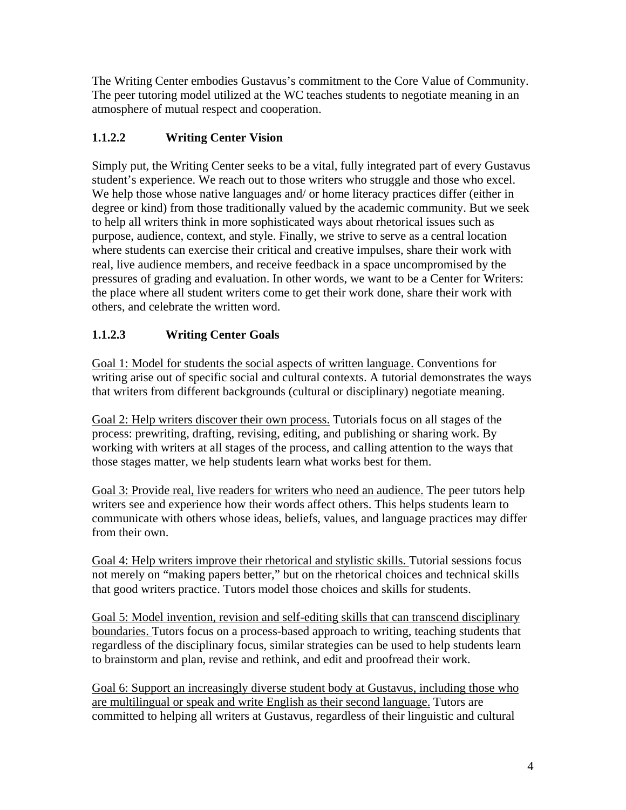The Writing Center embodies Gustavus's commitment to the Core Value of Community. The peer tutoring model utilized at the WC teaches students to negotiate meaning in an atmosphere of mutual respect and cooperation.

# **1.1.2.2 Writing Center Vision**

Simply put, the Writing Center seeks to be a vital, fully integrated part of every Gustavus student's experience. We reach out to those writers who struggle and those who excel. We help those whose native languages and/ or home literacy practices differ (either in degree or kind) from those traditionally valued by the academic community. But we seek to help all writers think in more sophisticated ways about rhetorical issues such as purpose, audience, context, and style. Finally, we strive to serve as a central location where students can exercise their critical and creative impulses, share their work with real, live audience members, and receive feedback in a space uncompromised by the pressures of grading and evaluation. In other words, we want to be a Center for Writers: the place where all student writers come to get their work done, share their work with others, and celebrate the written word.

# **1.1.2.3 Writing Center Goals**

Goal 1: Model for students the social aspects of written language. Conventions for writing arise out of specific social and cultural contexts. A tutorial demonstrates the ways that writers from different backgrounds (cultural or disciplinary) negotiate meaning.

Goal 2: Help writers discover their own process. Tutorials focus on all stages of the process: prewriting, drafting, revising, editing, and publishing or sharing work. By working with writers at all stages of the process, and calling attention to the ways that those stages matter, we help students learn what works best for them.

Goal 3: Provide real, live readers for writers who need an audience. The peer tutors help writers see and experience how their words affect others. This helps students learn to communicate with others whose ideas, beliefs, values, and language practices may differ from their own.

Goal 4: Help writers improve their rhetorical and stylistic skills. Tutorial sessions focus not merely on "making papers better," but on the rhetorical choices and technical skills that good writers practice. Tutors model those choices and skills for students.

Goal 5: Model invention, revision and self-editing skills that can transcend disciplinary boundaries. Tutors focus on a process-based approach to writing, teaching students that regardless of the disciplinary focus, similar strategies can be used to help students learn to brainstorm and plan, revise and rethink, and edit and proofread their work.

Goal 6: Support an increasingly diverse student body at Gustavus, including those who are multilingual or speak and write English as their second language. Tutors are committed to helping all writers at Gustavus, regardless of their linguistic and cultural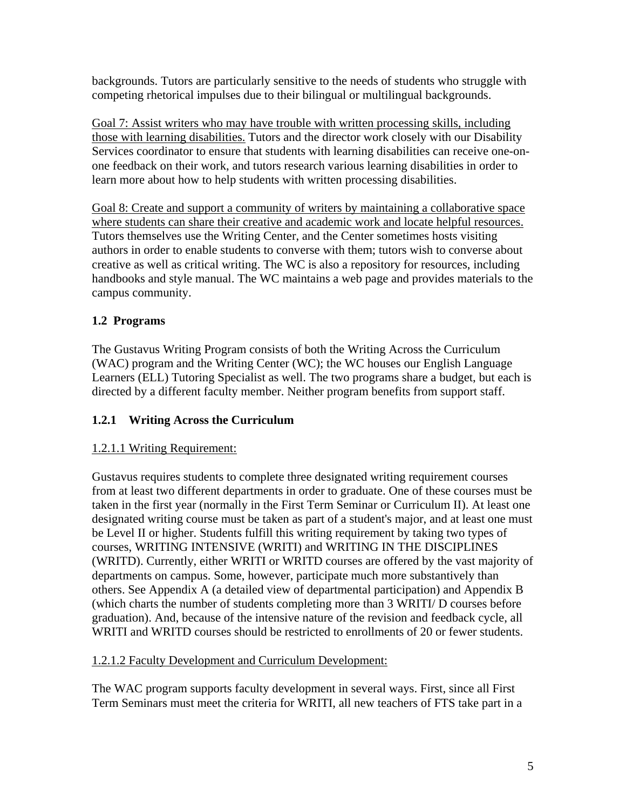backgrounds. Tutors are particularly sensitive to the needs of students who struggle with competing rhetorical impulses due to their bilingual or multilingual backgrounds.

Goal 7: Assist writers who may have trouble with written processing skills, including those with learning disabilities. Tutors and the director work closely with our Disability Services coordinator to ensure that students with learning disabilities can receive one-onone feedback on their work, and tutors research various learning disabilities in order to learn more about how to help students with written processing disabilities.

Goal 8: Create and support a community of writers by maintaining a collaborative space where students can share their creative and academic work and locate helpful resources. Tutors themselves use the Writing Center, and the Center sometimes hosts visiting authors in order to enable students to converse with them; tutors wish to converse about creative as well as critical writing. The WC is also a repository for resources, including handbooks and style manual. The WC maintains a web page and provides materials to the campus community.

## **1.2 Programs**

The Gustavus Writing Program consists of both the Writing Across the Curriculum (WAC) program and the Writing Center (WC); the WC houses our English Language Learners (ELL) Tutoring Specialist as well. The two programs share a budget, but each is directed by a different faculty member. Neither program benefits from support staff.

## **1.2.1 Writing Across the Curriculum**

## 1.2.1.1 Writing Requirement:

Gustavus requires students to complete three designated writing requirement courses from at least two different departments in order to graduate. One of these courses must be taken in the first year (normally in the First Term Seminar or Curriculum II). At least one designated writing course must be taken as part of a student's major, and at least one must be Level II or higher. Students fulfill this writing requirement by taking two types of courses, WRITING INTENSIVE (WRITI) and WRITING IN THE DISCIPLINES (WRITD). Currently, either WRITI or WRITD courses are offered by the vast majority of departments on campus. Some, however, participate much more substantively than others. See Appendix A (a detailed view of departmental participation) and Appendix B (which charts the number of students completing more than 3 WRITI/ D courses before graduation). And, because of the intensive nature of the revision and feedback cycle, all WRITI and WRITD courses should be restricted to enrollments of 20 or fewer students.

#### 1.2.1.2 Faculty Development and Curriculum Development:

The WAC program supports faculty development in several ways. First, since all First Term Seminars must meet the criteria for WRITI, all new teachers of FTS take part in a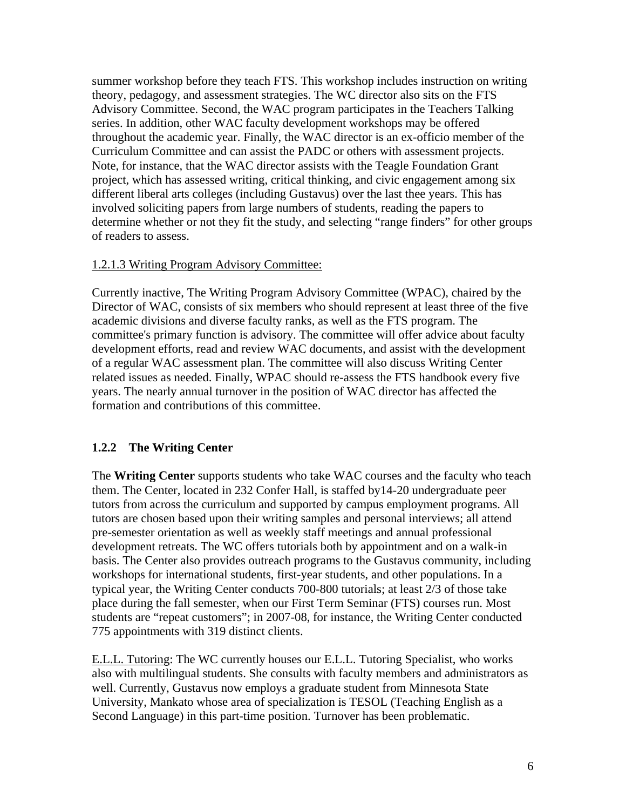summer workshop before they teach FTS. This workshop includes instruction on writing theory, pedagogy, and assessment strategies. The WC director also sits on the FTS Advisory Committee. Second, the WAC program participates in the Teachers Talking series. In addition, other WAC faculty development workshops may be offered throughout the academic year. Finally, the WAC director is an ex-officio member of the Curriculum Committee and can assist the PADC or others with assessment projects. Note, for instance, that the WAC director assists with the Teagle Foundation Grant project, which has assessed writing, critical thinking, and civic engagement among six different liberal arts colleges (including Gustavus) over the last thee years. This has involved soliciting papers from large numbers of students, reading the papers to determine whether or not they fit the study, and selecting "range finders" for other groups of readers to assess.

#### 1.2.1.3 Writing Program Advisory Committee:

Currently inactive, The Writing Program Advisory Committee (WPAC), chaired by the Director of WAC, consists of six members who should represent at least three of the five academic divisions and diverse faculty ranks, as well as the FTS program. The committee's primary function is advisory. The committee will offer advice about faculty development efforts, read and review WAC documents, and assist with the development of a regular WAC assessment plan. The committee will also discuss Writing Center related issues as needed. Finally, WPAC should re-assess the FTS handbook every five years. The nearly annual turnover in the position of WAC director has affected the formation and contributions of this committee.

## **1.2.2 The Writing Center**

The **Writing Center** supports students who take WAC courses and the faculty who teach them. The Center, located in 232 Confer Hall, is staffed by14-20 undergraduate peer tutors from across the curriculum and supported by campus employment programs. All tutors are chosen based upon their writing samples and personal interviews; all attend pre-semester orientation as well as weekly staff meetings and annual professional development retreats. The WC offers tutorials both by appointment and on a walk-in basis. The Center also provides outreach programs to the Gustavus community, including workshops for international students, first-year students, and other populations. In a typical year, the Writing Center conducts 700-800 tutorials; at least 2/3 of those take place during the fall semester, when our First Term Seminar (FTS) courses run. Most students are "repeat customers"; in 2007-08, for instance, the Writing Center conducted 775 appointments with 319 distinct clients.

E.L.L. Tutoring: The WC currently houses our E.L.L. Tutoring Specialist, who works also with multilingual students. She consults with faculty members and administrators as well. Currently, Gustavus now employs a graduate student from Minnesota State University, Mankato whose area of specialization is TESOL (Teaching English as a Second Language) in this part-time position. Turnover has been problematic.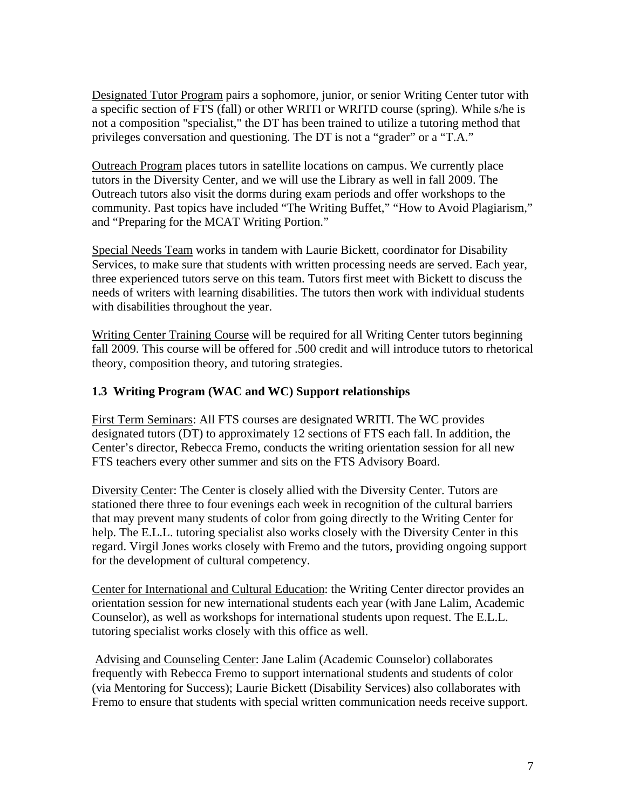Designated Tutor Program pairs a sophomore, junior, or senior Writing Center tutor with a specific section of FTS (fall) or other WRITI or WRITD course (spring). While s/he is not a composition "specialist," the DT has been trained to utilize a tutoring method that privileges conversation and questioning. The DT is not a "grader" or a "T.A."

Outreach Program places tutors in satellite locations on campus. We currently place tutors in the Diversity Center, and we will use the Library as well in fall 2009. The Outreach tutors also visit the dorms during exam periods and offer workshops to the community. Past topics have included "The Writing Buffet," "How to Avoid Plagiarism," and "Preparing for the MCAT Writing Portion."

Special Needs Team works in tandem with Laurie Bickett, coordinator for Disability Services, to make sure that students with written processing needs are served. Each year, three experienced tutors serve on this team. Tutors first meet with Bickett to discuss the needs of writers with learning disabilities. The tutors then work with individual students with disabilities throughout the year.

Writing Center Training Course will be required for all Writing Center tutors beginning fall 2009. This course will be offered for .500 credit and will introduce tutors to rhetorical theory, composition theory, and tutoring strategies.

### **1.3 Writing Program (WAC and WC) Support relationships**

First Term Seminars: All FTS courses are designated WRITI. The WC provides designated tutors (DT) to approximately 12 sections of FTS each fall. In addition, the Center's director, Rebecca Fremo, conducts the writing orientation session for all new FTS teachers every other summer and sits on the FTS Advisory Board.

Diversity Center: The Center is closely allied with the Diversity Center. Tutors are stationed there three to four evenings each week in recognition of the cultural barriers that may prevent many students of color from going directly to the Writing Center for help. The E.L.L. tutoring specialist also works closely with the Diversity Center in this regard. Virgil Jones works closely with Fremo and the tutors, providing ongoing support for the development of cultural competency.

Center for International and Cultural Education: the Writing Center director provides an orientation session for new international students each year (with Jane Lalim, Academic Counselor), as well as workshops for international students upon request. The E.L.L. tutoring specialist works closely with this office as well.

 Advising and Counseling Center: Jane Lalim (Academic Counselor) collaborates frequently with Rebecca Fremo to support international students and students of color (via Mentoring for Success); Laurie Bickett (Disability Services) also collaborates with Fremo to ensure that students with special written communication needs receive support.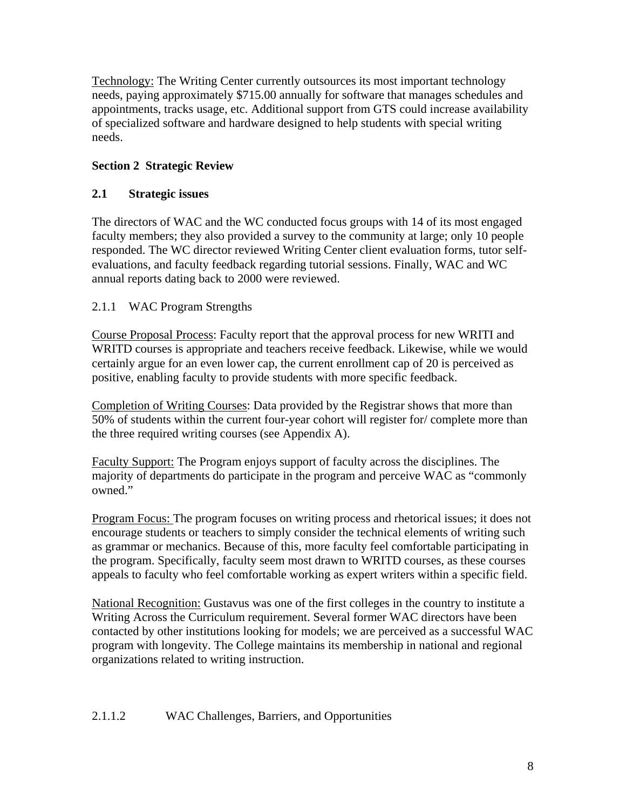Technology: The Writing Center currently outsources its most important technology needs, paying approximately \$715.00 annually for software that manages schedules and appointments, tracks usage, etc. Additional support from GTS could increase availability of specialized software and hardware designed to help students with special writing needs.

## **Section 2 Strategic Review**

### **2.1 Strategic issues**

The directors of WAC and the WC conducted focus groups with 14 of its most engaged faculty members; they also provided a survey to the community at large; only 10 people responded. The WC director reviewed Writing Center client evaluation forms, tutor selfevaluations, and faculty feedback regarding tutorial sessions. Finally, WAC and WC annual reports dating back to 2000 were reviewed.

### 2.1.1 WAC Program Strengths

Course Proposal Process: Faculty report that the approval process for new WRITI and WRITD courses is appropriate and teachers receive feedback. Likewise, while we would certainly argue for an even lower cap, the current enrollment cap of 20 is perceived as positive, enabling faculty to provide students with more specific feedback.

Completion of Writing Courses: Data provided by the Registrar shows that more than 50% of students within the current four-year cohort will register for/ complete more than the three required writing courses (see Appendix A).

Faculty Support: The Program enjoys support of faculty across the disciplines. The majority of departments do participate in the program and perceive WAC as "commonly owned."

Program Focus: The program focuses on writing process and rhetorical issues; it does not encourage students or teachers to simply consider the technical elements of writing such as grammar or mechanics. Because of this, more faculty feel comfortable participating in the program. Specifically, faculty seem most drawn to WRITD courses, as these courses appeals to faculty who feel comfortable working as expert writers within a specific field.

National Recognition: Gustavus was one of the first colleges in the country to institute a Writing Across the Curriculum requirement. Several former WAC directors have been contacted by other institutions looking for models; we are perceived as a successful WAC program with longevity. The College maintains its membership in national and regional organizations related to writing instruction.

#### 2.1.1.2 WAC Challenges, Barriers, and Opportunities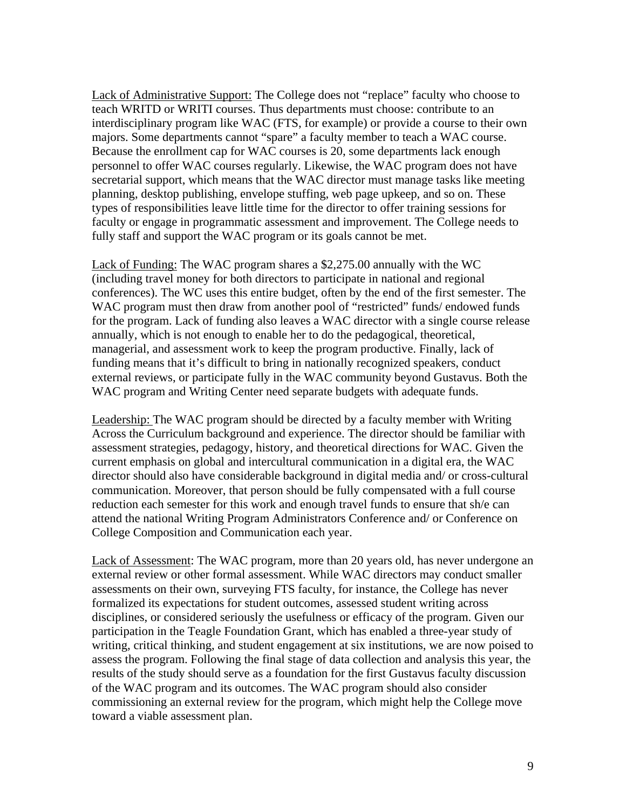Lack of Administrative Support: The College does not "replace" faculty who choose to teach WRITD or WRITI courses. Thus departments must choose: contribute to an interdisciplinary program like WAC (FTS, for example) or provide a course to their own majors. Some departments cannot "spare" a faculty member to teach a WAC course. Because the enrollment cap for WAC courses is 20, some departments lack enough personnel to offer WAC courses regularly. Likewise, the WAC program does not have secretarial support, which means that the WAC director must manage tasks like meeting planning, desktop publishing, envelope stuffing, web page upkeep, and so on. These types of responsibilities leave little time for the director to offer training sessions for faculty or engage in programmatic assessment and improvement. The College needs to fully staff and support the WAC program or its goals cannot be met.

Lack of Funding: The WAC program shares a \$2,275.00 annually with the WC (including travel money for both directors to participate in national and regional conferences). The WC uses this entire budget, often by the end of the first semester. The WAC program must then draw from another pool of "restricted" funds/ endowed funds for the program. Lack of funding also leaves a WAC director with a single course release annually, which is not enough to enable her to do the pedagogical, theoretical, managerial, and assessment work to keep the program productive. Finally, lack of funding means that it's difficult to bring in nationally recognized speakers, conduct external reviews, or participate fully in the WAC community beyond Gustavus. Both the WAC program and Writing Center need separate budgets with adequate funds.

Leadership: The WAC program should be directed by a faculty member with Writing Across the Curriculum background and experience. The director should be familiar with assessment strategies, pedagogy, history, and theoretical directions for WAC. Given the current emphasis on global and intercultural communication in a digital era, the WAC director should also have considerable background in digital media and/ or cross-cultural communication. Moreover, that person should be fully compensated with a full course reduction each semester for this work and enough travel funds to ensure that sh/e can attend the national Writing Program Administrators Conference and/ or Conference on College Composition and Communication each year.

Lack of Assessment: The WAC program, more than 20 years old, has never undergone an external review or other formal assessment. While WAC directors may conduct smaller assessments on their own, surveying FTS faculty, for instance, the College has never formalized its expectations for student outcomes, assessed student writing across disciplines, or considered seriously the usefulness or efficacy of the program. Given our participation in the Teagle Foundation Grant, which has enabled a three-year study of writing, critical thinking, and student engagement at six institutions, we are now poised to assess the program. Following the final stage of data collection and analysis this year, the results of the study should serve as a foundation for the first Gustavus faculty discussion of the WAC program and its outcomes. The WAC program should also consider commissioning an external review for the program, which might help the College move toward a viable assessment plan.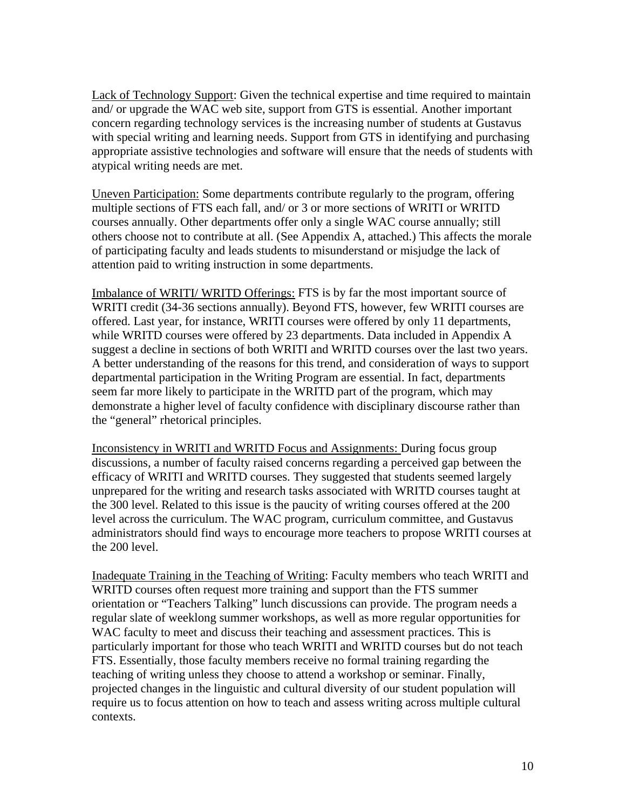Lack of Technology Support: Given the technical expertise and time required to maintain and/ or upgrade the WAC web site, support from GTS is essential. Another important concern regarding technology services is the increasing number of students at Gustavus with special writing and learning needs. Support from GTS in identifying and purchasing appropriate assistive technologies and software will ensure that the needs of students with atypical writing needs are met.

Uneven Participation: Some departments contribute regularly to the program, offering multiple sections of FTS each fall, and/ or 3 or more sections of WRITI or WRITD courses annually. Other departments offer only a single WAC course annually; still others choose not to contribute at all. (See Appendix A, attached.) This affects the morale of participating faculty and leads students to misunderstand or misjudge the lack of attention paid to writing instruction in some departments.

Imbalance of WRITI/ WRITD Offerings: FTS is by far the most important source of WRITI credit (34-36 sections annually). Beyond FTS, however, few WRITI courses are offered. Last year, for instance, WRITI courses were offered by only 11 departments, while WRITD courses were offered by 23 departments. Data included in Appendix A suggest a decline in sections of both WRITI and WRITD courses over the last two years. A better understanding of the reasons for this trend, and consideration of ways to support departmental participation in the Writing Program are essential. In fact, departments seem far more likely to participate in the WRITD part of the program, which may demonstrate a higher level of faculty confidence with disciplinary discourse rather than the "general" rhetorical principles.

Inconsistency in WRITI and WRITD Focus and Assignments: During focus group discussions, a number of faculty raised concerns regarding a perceived gap between the efficacy of WRITI and WRITD courses. They suggested that students seemed largely unprepared for the writing and research tasks associated with WRITD courses taught at the 300 level. Related to this issue is the paucity of writing courses offered at the 200 level across the curriculum. The WAC program, curriculum committee, and Gustavus administrators should find ways to encourage more teachers to propose WRITI courses at the 200 level.

Inadequate Training in the Teaching of Writing: Faculty members who teach WRITI and WRITD courses often request more training and support than the FTS summer orientation or "Teachers Talking" lunch discussions can provide. The program needs a regular slate of weeklong summer workshops, as well as more regular opportunities for WAC faculty to meet and discuss their teaching and assessment practices. This is particularly important for those who teach WRITI and WRITD courses but do not teach FTS. Essentially, those faculty members receive no formal training regarding the teaching of writing unless they choose to attend a workshop or seminar. Finally, projected changes in the linguistic and cultural diversity of our student population will require us to focus attention on how to teach and assess writing across multiple cultural contexts.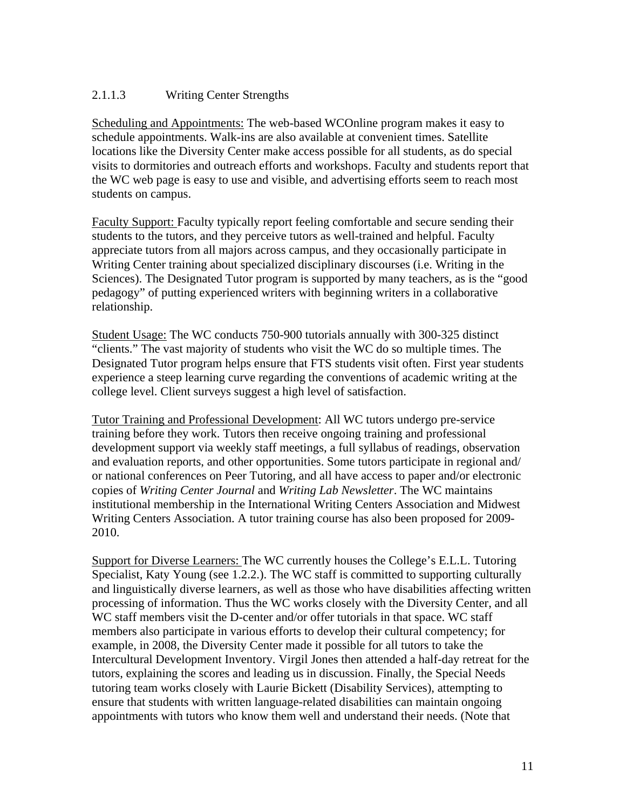#### 2.1.1.3 Writing Center Strengths

Scheduling and Appointments: The web-based WCOnline program makes it easy to schedule appointments. Walk-ins are also available at convenient times. Satellite locations like the Diversity Center make access possible for all students, as do special visits to dormitories and outreach efforts and workshops. Faculty and students report that the WC web page is easy to use and visible, and advertising efforts seem to reach most students on campus.

Faculty Support: Faculty typically report feeling comfortable and secure sending their students to the tutors, and they perceive tutors as well-trained and helpful. Faculty appreciate tutors from all majors across campus, and they occasionally participate in Writing Center training about specialized disciplinary discourses (i.e. Writing in the Sciences). The Designated Tutor program is supported by many teachers, as is the "good pedagogy" of putting experienced writers with beginning writers in a collaborative relationship.

Student Usage: The WC conducts 750-900 tutorials annually with 300-325 distinct "clients." The vast majority of students who visit the WC do so multiple times. The Designated Tutor program helps ensure that FTS students visit often. First year students experience a steep learning curve regarding the conventions of academic writing at the college level. Client surveys suggest a high level of satisfaction.

Tutor Training and Professional Development: All WC tutors undergo pre-service training before they work. Tutors then receive ongoing training and professional development support via weekly staff meetings, a full syllabus of readings, observation and evaluation reports, and other opportunities. Some tutors participate in regional and/ or national conferences on Peer Tutoring, and all have access to paper and/or electronic copies of *Writing Center Journal* and *Writing Lab Newsletter*. The WC maintains institutional membership in the International Writing Centers Association and Midwest Writing Centers Association. A tutor training course has also been proposed for 2009- 2010.

Support for Diverse Learners: The WC currently houses the College's E.L.L. Tutoring Specialist, Katy Young (see 1.2.2.). The WC staff is committed to supporting culturally and linguistically diverse learners, as well as those who have disabilities affecting written processing of information. Thus the WC works closely with the Diversity Center, and all WC staff members visit the D-center and/or offer tutorials in that space. WC staff members also participate in various efforts to develop their cultural competency; for example, in 2008, the Diversity Center made it possible for all tutors to take the Intercultural Development Inventory. Virgil Jones then attended a half-day retreat for the tutors, explaining the scores and leading us in discussion. Finally, the Special Needs tutoring team works closely with Laurie Bickett (Disability Services), attempting to ensure that students with written language-related disabilities can maintain ongoing appointments with tutors who know them well and understand their needs. (Note that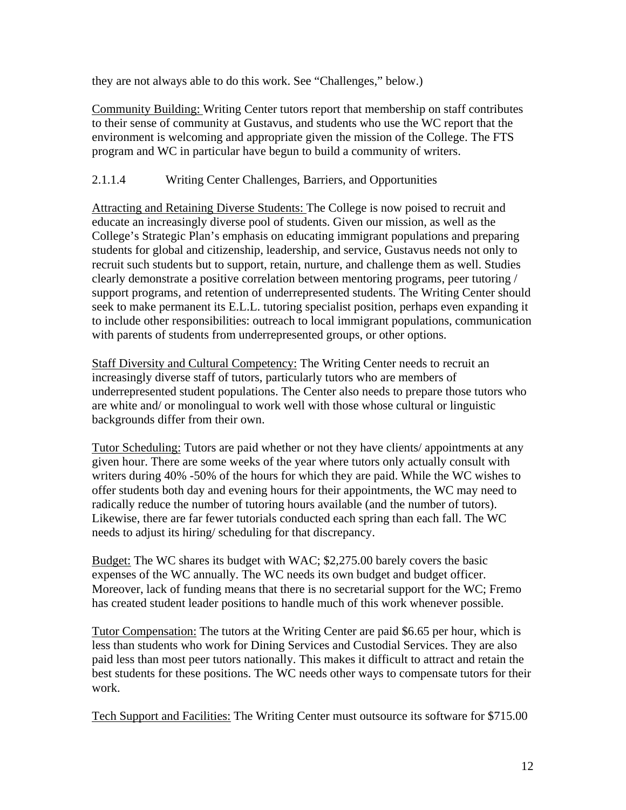they are not always able to do this work. See "Challenges," below.)

Community Building: Writing Center tutors report that membership on staff contributes to their sense of community at Gustavus, and students who use the WC report that the environment is welcoming and appropriate given the mission of the College. The FTS program and WC in particular have begun to build a community of writers.

### 2.1.1.4 Writing Center Challenges, Barriers, and Opportunities

Attracting and Retaining Diverse Students: The College is now poised to recruit and educate an increasingly diverse pool of students. Given our mission, as well as the College's Strategic Plan's emphasis on educating immigrant populations and preparing students for global and citizenship, leadership, and service, Gustavus needs not only to recruit such students but to support, retain, nurture, and challenge them as well. Studies clearly demonstrate a positive correlation between mentoring programs, peer tutoring / support programs, and retention of underrepresented students. The Writing Center should seek to make permanent its E.L.L. tutoring specialist position, perhaps even expanding it to include other responsibilities: outreach to local immigrant populations, communication with parents of students from underrepresented groups, or other options.

Staff Diversity and Cultural Competency: The Writing Center needs to recruit an increasingly diverse staff of tutors, particularly tutors who are members of underrepresented student populations. The Center also needs to prepare those tutors who are white and/ or monolingual to work well with those whose cultural or linguistic backgrounds differ from their own.

Tutor Scheduling: Tutors are paid whether or not they have clients/ appointments at any given hour. There are some weeks of the year where tutors only actually consult with writers during 40% -50% of the hours for which they are paid. While the WC wishes to offer students both day and evening hours for their appointments, the WC may need to radically reduce the number of tutoring hours available (and the number of tutors). Likewise, there are far fewer tutorials conducted each spring than each fall. The WC needs to adjust its hiring/ scheduling for that discrepancy.

Budget: The WC shares its budget with WAC; \$2,275.00 barely covers the basic expenses of the WC annually. The WC needs its own budget and budget officer. Moreover, lack of funding means that there is no secretarial support for the WC; Fremo has created student leader positions to handle much of this work whenever possible.

Tutor Compensation: The tutors at the Writing Center are paid \$6.65 per hour, which is less than students who work for Dining Services and Custodial Services. They are also paid less than most peer tutors nationally. This makes it difficult to attract and retain the best students for these positions. The WC needs other ways to compensate tutors for their work.

Tech Support and Facilities: The Writing Center must outsource its software for \$715.00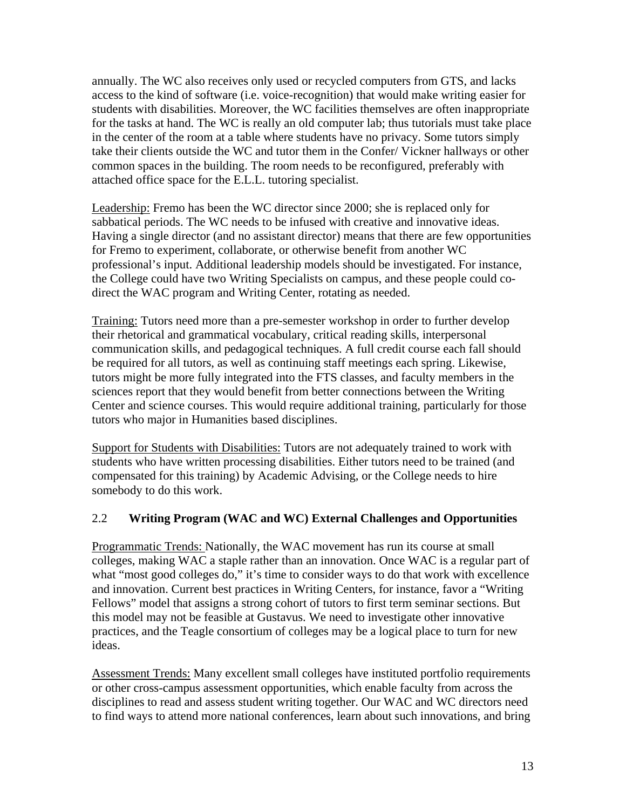annually. The WC also receives only used or recycled computers from GTS, and lacks access to the kind of software (i.e. voice-recognition) that would make writing easier for students with disabilities. Moreover, the WC facilities themselves are often inappropriate for the tasks at hand. The WC is really an old computer lab; thus tutorials must take place in the center of the room at a table where students have no privacy. Some tutors simply take their clients outside the WC and tutor them in the Confer/ Vickner hallways or other common spaces in the building. The room needs to be reconfigured, preferably with attached office space for the E.L.L. tutoring specialist.

Leadership: Fremo has been the WC director since 2000; she is replaced only for sabbatical periods. The WC needs to be infused with creative and innovative ideas. Having a single director (and no assistant director) means that there are few opportunities for Fremo to experiment, collaborate, or otherwise benefit from another WC professional's input. Additional leadership models should be investigated. For instance, the College could have two Writing Specialists on campus, and these people could codirect the WAC program and Writing Center, rotating as needed.

Training: Tutors need more than a pre-semester workshop in order to further develop their rhetorical and grammatical vocabulary, critical reading skills, interpersonal communication skills, and pedagogical techniques. A full credit course each fall should be required for all tutors, as well as continuing staff meetings each spring. Likewise, tutors might be more fully integrated into the FTS classes, and faculty members in the sciences report that they would benefit from better connections between the Writing Center and science courses. This would require additional training, particularly for those tutors who major in Humanities based disciplines.

Support for Students with Disabilities: Tutors are not adequately trained to work with students who have written processing disabilities. Either tutors need to be trained (and compensated for this training) by Academic Advising, or the College needs to hire somebody to do this work.

#### 2.2 **Writing Program (WAC and WC) External Challenges and Opportunities**

Programmatic Trends: Nationally, the WAC movement has run its course at small colleges, making WAC a staple rather than an innovation. Once WAC is a regular part of what "most good colleges do," it's time to consider ways to do that work with excellence and innovation. Current best practices in Writing Centers, for instance, favor a "Writing Fellows" model that assigns a strong cohort of tutors to first term seminar sections. But this model may not be feasible at Gustavus. We need to investigate other innovative practices, and the Teagle consortium of colleges may be a logical place to turn for new ideas.

Assessment Trends: Many excellent small colleges have instituted portfolio requirements or other cross-campus assessment opportunities, which enable faculty from across the disciplines to read and assess student writing together. Our WAC and WC directors need to find ways to attend more national conferences, learn about such innovations, and bring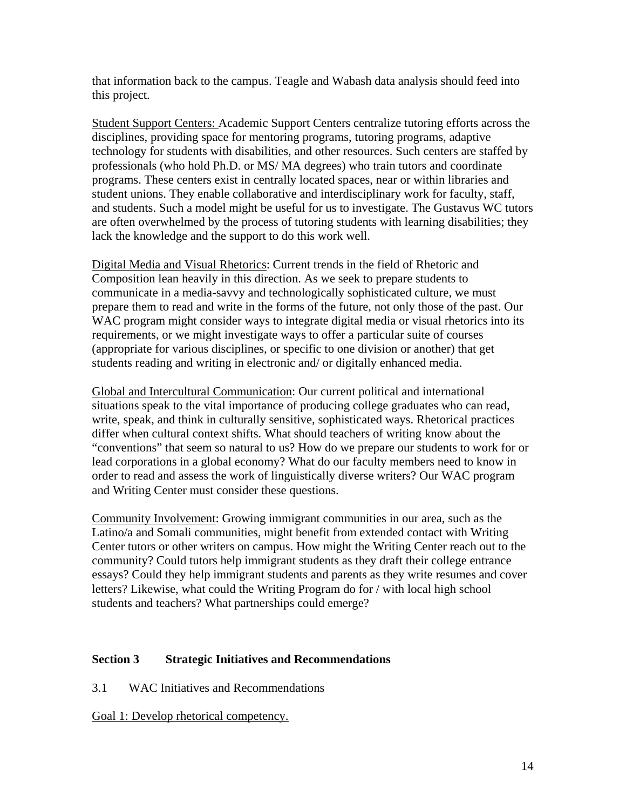that information back to the campus. Teagle and Wabash data analysis should feed into this project.

Student Support Centers: Academic Support Centers centralize tutoring efforts across the disciplines, providing space for mentoring programs, tutoring programs, adaptive technology for students with disabilities, and other resources. Such centers are staffed by professionals (who hold Ph.D. or MS/ MA degrees) who train tutors and coordinate programs. These centers exist in centrally located spaces, near or within libraries and student unions. They enable collaborative and interdisciplinary work for faculty, staff, and students. Such a model might be useful for us to investigate. The Gustavus WC tutors are often overwhelmed by the process of tutoring students with learning disabilities; they lack the knowledge and the support to do this work well.

Digital Media and Visual Rhetorics: Current trends in the field of Rhetoric and Composition lean heavily in this direction. As we seek to prepare students to communicate in a media-savvy and technologically sophisticated culture, we must prepare them to read and write in the forms of the future, not only those of the past. Our WAC program might consider ways to integrate digital media or visual rhetorics into its requirements, or we might investigate ways to offer a particular suite of courses (appropriate for various disciplines, or specific to one division or another) that get students reading and writing in electronic and/ or digitally enhanced media.

Global and Intercultural Communication: Our current political and international situations speak to the vital importance of producing college graduates who can read, write, speak, and think in culturally sensitive, sophisticated ways. Rhetorical practices differ when cultural context shifts. What should teachers of writing know about the "conventions" that seem so natural to us? How do we prepare our students to work for or lead corporations in a global economy? What do our faculty members need to know in order to read and assess the work of linguistically diverse writers? Our WAC program and Writing Center must consider these questions.

Community Involvement: Growing immigrant communities in our area, such as the Latino/a and Somali communities, might benefit from extended contact with Writing Center tutors or other writers on campus. How might the Writing Center reach out to the community? Could tutors help immigrant students as they draft their college entrance essays? Could they help immigrant students and parents as they write resumes and cover letters? Likewise, what could the Writing Program do for / with local high school students and teachers? What partnerships could emerge?

#### **Section 3 Strategic Initiatives and Recommendations**

3.1 WAC Initiatives and Recommendations

Goal 1: Develop rhetorical competency.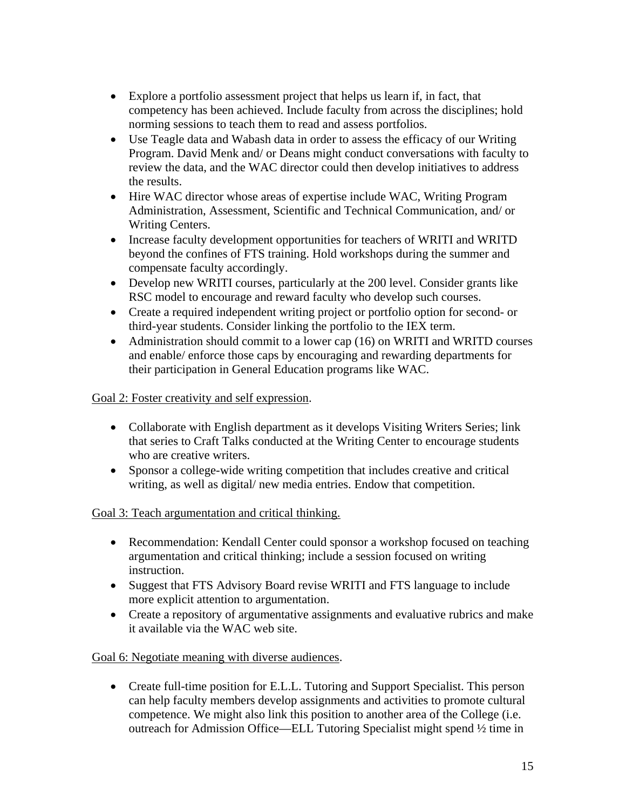- Explore a portfolio assessment project that helps us learn if, in fact, that competency has been achieved. Include faculty from across the disciplines; hold norming sessions to teach them to read and assess portfolios.
- Use Teagle data and Wabash data in order to assess the efficacy of our Writing Program. David Menk and/ or Deans might conduct conversations with faculty to review the data, and the WAC director could then develop initiatives to address the results.
- Hire WAC director whose areas of expertise include WAC, Writing Program Administration, Assessment, Scientific and Technical Communication, and/ or Writing Centers.
- Increase faculty development opportunities for teachers of WRITI and WRITD beyond the confines of FTS training. Hold workshops during the summer and compensate faculty accordingly.
- Develop new WRITI courses, particularly at the 200 level. Consider grants like RSC model to encourage and reward faculty who develop such courses.
- Create a required independent writing project or portfolio option for second- or third-year students. Consider linking the portfolio to the IEX term.
- Administration should commit to a lower cap (16) on WRITI and WRITD courses and enable/ enforce those caps by encouraging and rewarding departments for their participation in General Education programs like WAC.

#### Goal 2: Foster creativity and self expression.

- Collaborate with English department as it develops Visiting Writers Series; link that series to Craft Talks conducted at the Writing Center to encourage students who are creative writers.
- Sponsor a college-wide writing competition that includes creative and critical writing, as well as digital/ new media entries. Endow that competition.

#### Goal 3: Teach argumentation and critical thinking.

- Recommendation: Kendall Center could sponsor a workshop focused on teaching argumentation and critical thinking; include a session focused on writing instruction.
- Suggest that FTS Advisory Board revise WRITI and FTS language to include more explicit attention to argumentation.
- Create a repository of argumentative assignments and evaluative rubrics and make it available via the WAC web site.

#### Goal 6: Negotiate meaning with diverse audiences.

 Create full-time position for E.L.L. Tutoring and Support Specialist. This person can help faculty members develop assignments and activities to promote cultural competence. We might also link this position to another area of the College (i.e. outreach for Admission Office—ELL Tutoring Specialist might spend ½ time in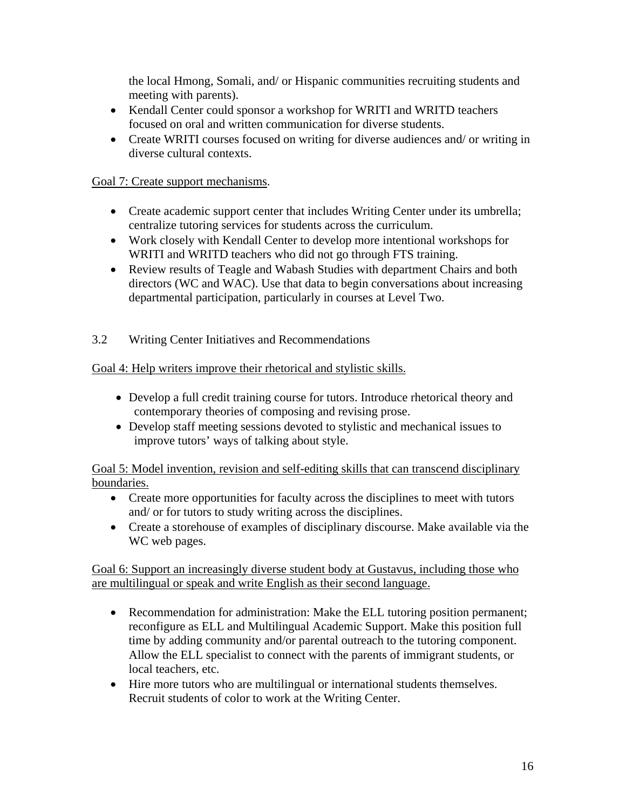the local Hmong, Somali, and/ or Hispanic communities recruiting students and meeting with parents).

- Kendall Center could sponsor a workshop for WRITI and WRITD teachers focused on oral and written communication for diverse students.
- Create WRITI courses focused on writing for diverse audiences and/ or writing in diverse cultural contexts.

### Goal 7: Create support mechanisms.

- Create academic support center that includes Writing Center under its umbrella; centralize tutoring services for students across the curriculum.
- Work closely with Kendall Center to develop more intentional workshops for WRITI and WRITD teachers who did not go through FTS training.
- Review results of Teagle and Wabash Studies with department Chairs and both directors (WC and WAC). Use that data to begin conversations about increasing departmental participation, particularly in courses at Level Two.
- 3.2 Writing Center Initiatives and Recommendations

### Goal 4: Help writers improve their rhetorical and stylistic skills.

- Develop a full credit training course for tutors. Introduce rhetorical theory and contemporary theories of composing and revising prose.
- Develop staff meeting sessions devoted to stylistic and mechanical issues to improve tutors' ways of talking about style.

Goal 5: Model invention, revision and self-editing skills that can transcend disciplinary boundaries.

- Create more opportunities for faculty across the disciplines to meet with tutors and/ or for tutors to study writing across the disciplines.
- Create a storehouse of examples of disciplinary discourse. Make available via the WC web pages.

Goal 6: Support an increasingly diverse student body at Gustavus, including those who are multilingual or speak and write English as their second language.

- Recommendation for administration: Make the ELL tutoring position permanent; reconfigure as ELL and Multilingual Academic Support. Make this position full time by adding community and/or parental outreach to the tutoring component. Allow the ELL specialist to connect with the parents of immigrant students, or local teachers, etc.
- Hire more tutors who are multilingual or international students themselves. Recruit students of color to work at the Writing Center.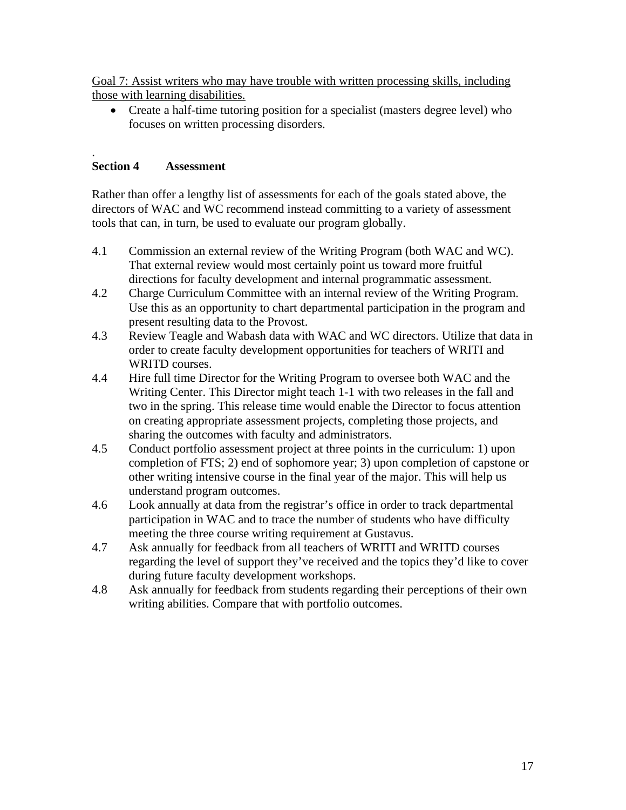Goal 7: Assist writers who may have trouble with written processing skills, including those with learning disabilities.

 Create a half-time tutoring position for a specialist (masters degree level) who focuses on written processing disorders.

#### . **Section 4 Assessment**

Rather than offer a lengthy list of assessments for each of the goals stated above, the directors of WAC and WC recommend instead committing to a variety of assessment tools that can, in turn, be used to evaluate our program globally.

- 4.1 Commission an external review of the Writing Program (both WAC and WC). That external review would most certainly point us toward more fruitful directions for faculty development and internal programmatic assessment.
- 4.2 Charge Curriculum Committee with an internal review of the Writing Program. Use this as an opportunity to chart departmental participation in the program and present resulting data to the Provost.
- 4.3 Review Teagle and Wabash data with WAC and WC directors. Utilize that data in order to create faculty development opportunities for teachers of WRITI and WRITD courses.
- 4.4 Hire full time Director for the Writing Program to oversee both WAC and the Writing Center. This Director might teach 1-1 with two releases in the fall and two in the spring. This release time would enable the Director to focus attention on creating appropriate assessment projects, completing those projects, and sharing the outcomes with faculty and administrators.
- 4.5 Conduct portfolio assessment project at three points in the curriculum: 1) upon completion of FTS; 2) end of sophomore year; 3) upon completion of capstone or other writing intensive course in the final year of the major. This will help us understand program outcomes.
- 4.6 Look annually at data from the registrar's office in order to track departmental participation in WAC and to trace the number of students who have difficulty meeting the three course writing requirement at Gustavus.
- 4.7 Ask annually for feedback from all teachers of WRITI and WRITD courses regarding the level of support they've received and the topics they'd like to cover during future faculty development workshops.
- 4.8 Ask annually for feedback from students regarding their perceptions of their own writing abilities. Compare that with portfolio outcomes.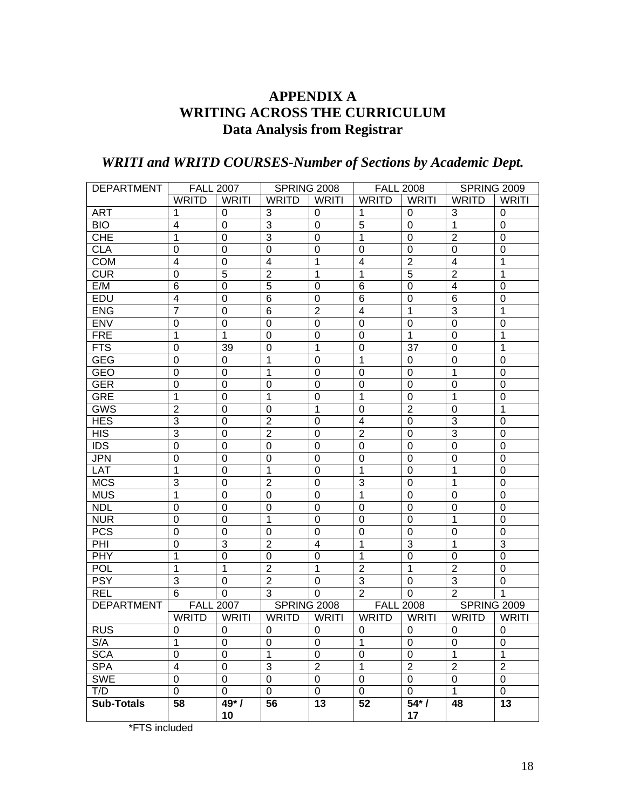# **APPENDIX A WRITING ACROSS THE CURRICULUM Data Analysis from Registrar**

# *WRITI and WRITD COURSES-Number of Sections by Academic Dept.*

| <b>DEPARTMENT</b> |                         | <b>FALL 2007</b><br><b>SPRING 2008</b> |                         |                         | <b>FALL 2008</b> |                | <b>SPRING 2009</b> |                |
|-------------------|-------------------------|----------------------------------------|-------------------------|-------------------------|------------------|----------------|--------------------|----------------|
|                   | <b>WRITD</b>            | <b>WRITI</b>                           | <b>WRITD</b>            | <b>WRITI</b>            | <b>WRITD</b>     | <b>WRITI</b>   | <b>WRITD</b>       | <b>WRITI</b>   |
| <b>ART</b>        | 1                       | 0                                      | 3                       | 0                       | 1                | 0              | 3                  | 0              |
| <b>BIO</b>        | 4                       | $\Omega$                               | 3                       | $\mathbf 0$             | 5                | 0              | $\mathbf{1}$       | 0              |
| <b>CHE</b>        | 1                       | $\Omega$                               | $\overline{3}$          | $\mathbf 0$             | 1                | 0              | $\overline{2}$     | 0              |
| <b>CLA</b>        | 0                       | 0                                      | $\mathbf 0$             | $\mathbf 0$             | 0                | 0              | $\mathbf 0$        | 0              |
| <b>COM</b>        | $\overline{4}$          | 0                                      | $\overline{\mathbf{4}}$ | 1                       | $\overline{4}$   | $\overline{2}$ | 4                  | 1              |
| <b>CUR</b>        | 0                       | 5                                      | $\overline{2}$          | 1                       | 1                | 5              | $\overline{2}$     | 1              |
| E/M               | 6                       | 0                                      | 5                       | $\mathbf 0$             | 6                | 0              | $\overline{4}$     | 0              |
| EDU               | $\overline{4}$          | 0                                      | $6\phantom{1}6$         | $\mathbf 0$             | 6                | 0              | 6                  | 0              |
| <b>ENG</b>        | $\overline{7}$          | 0                                      | $6\phantom{1}6$         | $\overline{2}$          | $\overline{4}$   | 1              | 3                  | 1              |
| <b>ENV</b>        | 0                       | 0                                      | $\mathbf 0$             | $\mathbf 0$             | 0                | 0              | $\mathbf 0$        | 0              |
| <b>FRE</b>        | 1                       | $\mathbf{1}$                           | $\mathbf 0$             | $\mathbf 0$             | $\Omega$         | 1              | 0                  | 1              |
| <b>FTS</b>        | 0                       | 39                                     | $\mathbf 0$             | 1                       | 0                | 37             | 0                  | 1              |
| <b>GEG</b>        | 0                       | 0                                      | 1                       | $\mathbf 0$             | 1                | 0              | 0                  | 0              |
| <b>GEO</b>        | 0                       | $\Omega$                               | 1                       | $\mathbf 0$             | $\Omega$         | 0              | 1                  | 0              |
| <b>GER</b>        | 0                       | 0                                      | $\mathbf 0$             | $\mathbf 0$             | 0                | 0              | $\mathbf 0$        | 0              |
| <b>GRE</b>        | 1                       | 0                                      | 1                       | $\mathbf 0$             | 1                | 0              | 1                  | 0              |
| <b>GWS</b>        | $\overline{2}$          | 0                                      | $\mathbf 0$             | 1                       | 0                | $\overline{2}$ | 0                  | 1              |
| <b>HES</b>        | 3                       | 0                                      | $\overline{2}$          | $\mathbf 0$             | $\overline{4}$   | $\mathbf 0$    | 3                  | 0              |
| <b>HIS</b>        | 3                       | 0                                      | $\overline{2}$          | $\mathbf 0$             | $\overline{2}$   | 0              | 3                  | 0              |
| <b>IDS</b>        | 0                       | 0                                      | $\mathbf 0$             | $\mathbf 0$             | $\Omega$         | 0              | $\mathbf 0$        | 0              |
| <b>JPN</b>        | 0                       | 0                                      | $\mathbf 0$             | $\mathbf 0$             | 0                | 0              | $\mathbf 0$        | 0              |
| LAT               | 1                       | 0                                      | $\mathbf{1}$            | $\mathbf 0$             | 1                | 0              | 1                  | 0              |
| <b>MCS</b>        | 3                       | $\Omega$                               | $\overline{2}$          | $\mathbf 0$             | 3                | 0              | 1                  | 0              |
| <b>MUS</b>        | 1                       | 0                                      | $\mathbf 0$             | $\mathbf 0$             | 1                | 0              | 0                  | 0              |
| <b>NDL</b>        | 0                       | 0                                      | $\mathbf 0$             | $\mathbf 0$             | $\Omega$         | 0              | 0                  | 0              |
| <b>NUR</b>        | 0                       | $\Omega$                               | 1                       | $\mathbf 0$             | $\Omega$         | 0              | 1                  | 0              |
| <b>PCS</b>        | 0                       | $\Omega$                               | $\mathbf 0$             | $\mathbf 0$             | 0                | 0              | $\mathbf 0$        | 0              |
| PHI               | 0                       | 3                                      | $\overline{2}$          | $\overline{\mathbf{4}}$ | 1                | 3              | 1                  | 3              |
| <b>PHY</b>        | 1                       | 0                                      | $\mathbf 0$             | $\mathbf 0$             | 1                | $\mathbf 0$    | 0                  | 0              |
| <b>POL</b>        | 1                       | $\mathbf{1}$                           | $\overline{2}$          | 1                       | $\overline{2}$   | 1              | $\overline{2}$     | 0              |
| <b>PSY</b>        | 3                       | $\Omega$                               | $\overline{2}$          | $\mathbf 0$             | 3                | 0              | 3                  | 0              |
| <b>REL</b>        | 6                       | $\mathbf 0$                            | 3                       | $\overline{0}$          | $\overline{2}$   | $\overline{0}$ | $\overline{2}$     | $\mathbf 1$    |
| <b>DEPARTMENT</b> | <b>FALL</b><br>2007     |                                        | <b>SPRING 2008</b>      |                         | <b>FALL 2008</b> |                | <b>SPRING 2009</b> |                |
|                   | <b>WRITD</b>            | <b>WRITI</b>                           | <b>WRITD</b>            | WRITI                   | <b>WRITD</b>     | <b>WRITI</b>   | <b>WRITD</b>       | <b>WRITI</b>   |
| <b>RUS</b>        | 0                       | 0                                      | 0                       | 0                       | 0                | 0              | 0                  | 0              |
| S/A               | 1                       | $\mathbf 0$                            | $\mathbf 0$             | $\mathbf 0$             | 1                | 0              | $\mathbf 0$        | 0              |
| <b>SCA</b>        | 0                       | $\mathbf 0$                            | 1                       | $\mathbf 0$             | 0                | 0              | $\mathbf{1}$       | $\mathbf{1}$   |
| <b>SPA</b>        | $\overline{\mathbf{4}}$ | $\mathbf 0$                            | $\overline{3}$          | $\overline{2}$          | 1                | $\overline{2}$ | $\overline{2}$     | $\overline{2}$ |
| <b>SWE</b>        | $\pmb{0}$               | $\mathbf 0$                            | $\pmb{0}$               | $\pmb{0}$               | 0                | $\mathbf 0$    | $\mathbf 0$        | $\mathbf 0$    |
| T/D               | 0                       | 0                                      | $\mathbf 0$             | $\mathbf 0$             | 0                | 0              | $\mathbf{1}$       | 0              |
| <b>Sub-Totals</b> | 58                      | $49* /$                                | 56                      | 13                      | 52               | $54* /$        | 48                 | 13             |
|                   |                         | 10                                     |                         |                         |                  | 17             |                    |                |

\*FTS included